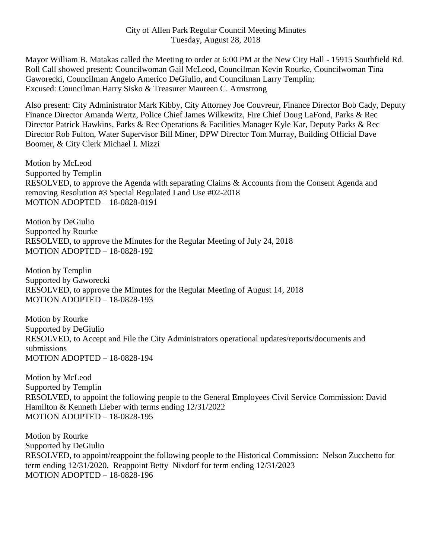Mayor William B. Matakas called the Meeting to order at 6:00 PM at the New City Hall - 15915 Southfield Rd. Roll Call showed present: Councilwoman Gail McLeod, Councilman Kevin Rourke, Councilwoman Tina Gaworecki, Councilman Angelo Americo DeGiulio, and Councilman Larry Templin; Excused: Councilman Harry Sisko & Treasurer Maureen C. Armstrong

Also present: City Administrator Mark Kibby, City Attorney Joe Couvreur, Finance Director Bob Cady, Deputy Finance Director Amanda Wertz, Police Chief James Wilkewitz, Fire Chief Doug LaFond, Parks & Rec Director Patrick Hawkins, Parks & Rec Operations & Facilities Manager Kyle Kar, Deputy Parks & Rec Director Rob Fulton, Water Supervisor Bill Miner, DPW Director Tom Murray, Building Official Dave Boomer, & City Clerk Michael I. Mizzi

Motion by McLeod Supported by Templin RESOLVED, to approve the Agenda with separating Claims & Accounts from the Consent Agenda and removing Resolution #3 Special Regulated Land Use #02-2018 MOTION ADOPTED – 18-0828-0191

Motion by DeGiulio Supported by Rourke RESOLVED, to approve the Minutes for the Regular Meeting of July 24, 2018 MOTION ADOPTED – 18-0828-192

Motion by Templin Supported by Gaworecki RESOLVED, to approve the Minutes for the Regular Meeting of August 14, 2018 MOTION ADOPTED – 18-0828-193

Motion by Rourke Supported by DeGiulio RESOLVED, to Accept and File the City Administrators operational updates/reports/documents and submissions MOTION ADOPTED – 18-0828-194

Motion by McLeod Supported by Templin RESOLVED, to appoint the following people to the General Employees Civil Service Commission: David Hamilton & Kenneth Lieber with terms ending 12/31/2022 MOTION ADOPTED – 18-0828-195

Motion by Rourke Supported by DeGiulio RESOLVED, to appoint/reappoint the following people to the Historical Commission: Nelson Zucchetto for term ending 12/31/2020. Reappoint Betty Nixdorf for term ending 12/31/2023 MOTION ADOPTED – 18-0828-196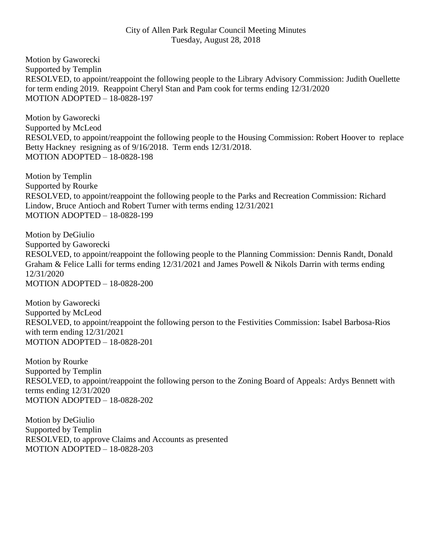## City of Allen Park Regular Council Meeting Minutes Tuesday, August 28, 2018

Motion by Gaworecki Supported by Templin RESOLVED, to appoint/reappoint the following people to the Library Advisory Commission: Judith Ouellette for term ending 2019. Reappoint Cheryl Stan and Pam cook for terms ending 12/31/2020 MOTION ADOPTED – 18-0828-197

Motion by Gaworecki Supported by McLeod RESOLVED, to appoint/reappoint the following people to the Housing Commission: Robert Hoover to replace Betty Hackney resigning as of 9/16/2018. Term ends 12/31/2018. MOTION ADOPTED – 18-0828-198

Motion by Templin Supported by Rourke RESOLVED, to appoint/reappoint the following people to the Parks and Recreation Commission: Richard Lindow, Bruce Antioch and Robert Turner with terms ending 12/31/2021 MOTION ADOPTED – 18-0828-199

Motion by DeGiulio Supported by Gaworecki RESOLVED, to appoint/reappoint the following people to the Planning Commission: Dennis Randt, Donald Graham & Felice Lalli for terms ending 12/31/2021 and James Powell & Nikols Darrin with terms ending 12/31/2020 MOTION ADOPTED – 18-0828-200

Motion by Gaworecki Supported by McLeod RESOLVED, to appoint/reappoint the following person to the Festivities Commission: Isabel Barbosa-Rios with term ending 12/31/2021 MOTION ADOPTED – 18-0828-201

Motion by Rourke Supported by Templin RESOLVED, to appoint/reappoint the following person to the Zoning Board of Appeals: Ardys Bennett with terms ending 12/31/2020 MOTION ADOPTED – 18-0828-202

Motion by DeGiulio Supported by Templin RESOLVED, to approve Claims and Accounts as presented MOTION ADOPTED – 18-0828-203